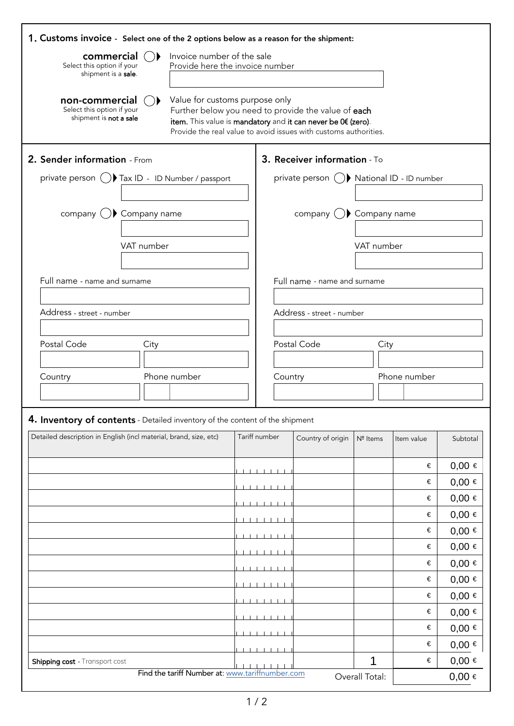| 1. Customs invoice - Select one of the 2 options below as a reason for the shipment: |            |                                                               |  |               |                                                                                                                                                                                         |                     |                                           |                          |
|--------------------------------------------------------------------------------------|------------|---------------------------------------------------------------|--|---------------|-----------------------------------------------------------------------------------------------------------------------------------------------------------------------------------------|---------------------|-------------------------------------------|--------------------------|
| commercial<br>Select this option if your<br>shipment is a sale.                      |            | Invoice number of the sale<br>Provide here the invoice number |  |               |                                                                                                                                                                                         |                     |                                           |                          |
| non-commercial<br>Select this option if your<br>shipment is not a sale               |            | Value for customs purpose only                                |  |               | Further below you need to provide the value of each<br>item. This value is mandatory and it can never be 0€ (zero).<br>Provide the real value to avoid issues with customs authorities. |                     |                                           |                          |
| 2. Sender information - From                                                         |            |                                                               |  |               | 3. Receiver information - To                                                                                                                                                            |                     |                                           |                          |
| private person ( ) Tax ID - ID Number / passport                                     |            |                                                               |  |               |                                                                                                                                                                                         |                     | private person () National ID - ID number |                          |
|                                                                                      |            |                                                               |  |               |                                                                                                                                                                                         |                     |                                           |                          |
| company $\bigcup$ Company name                                                       |            |                                                               |  |               | company $( )$ Company name                                                                                                                                                              |                     |                                           |                          |
|                                                                                      |            |                                                               |  |               |                                                                                                                                                                                         |                     |                                           |                          |
|                                                                                      | VAT number |                                                               |  |               |                                                                                                                                                                                         | VAT number          |                                           |                          |
|                                                                                      |            |                                                               |  |               |                                                                                                                                                                                         |                     |                                           |                          |
| Full name - name and surname                                                         |            |                                                               |  |               | Full name - name and surname                                                                                                                                                            |                     |                                           |                          |
| Address - street - number                                                            |            |                                                               |  |               | Address - street - number                                                                                                                                                               |                     |                                           |                          |
|                                                                                      |            |                                                               |  |               |                                                                                                                                                                                         |                     |                                           |                          |
| Postal Code                                                                          | City       |                                                               |  |               | Postal Code                                                                                                                                                                             |                     | City                                      |                          |
|                                                                                      |            |                                                               |  |               |                                                                                                                                                                                         |                     |                                           |                          |
| Country                                                                              |            | Phone number                                                  |  | Country       |                                                                                                                                                                                         |                     | Phone number                              |                          |
|                                                                                      |            |                                                               |  |               |                                                                                                                                                                                         |                     |                                           |                          |
| 4. Inventory of contents - Detailed inventory of the content of the shipment         |            |                                                               |  |               |                                                                                                                                                                                         |                     |                                           |                          |
| Detailed description in English (incl material, brand, size, etc)                    |            |                                                               |  | Tariff number | Country of origin                                                                                                                                                                       | Nº Items            | Item value                                | Subtotal                 |
|                                                                                      |            |                                                               |  |               |                                                                                                                                                                                         |                     |                                           |                          |
|                                                                                      |            |                                                               |  |               |                                                                                                                                                                                         |                     | €                                         | $0,00 \in$               |
|                                                                                      |            |                                                               |  |               |                                                                                                                                                                                         |                     | €                                         | $0,00 \in$               |
|                                                                                      |            |                                                               |  |               |                                                                                                                                                                                         |                     | €<br>€                                    | $0,00 \in$<br>$0,00 \in$ |
|                                                                                      |            |                                                               |  |               |                                                                                                                                                                                         |                     | €                                         | $0,00 \in$               |
|                                                                                      |            |                                                               |  |               |                                                                                                                                                                                         |                     | €                                         | $0,00 \in$               |
|                                                                                      |            |                                                               |  |               |                                                                                                                                                                                         |                     | €                                         | $0,00 \in$               |
|                                                                                      |            |                                                               |  |               |                                                                                                                                                                                         |                     |                                           |                          |
|                                                                                      |            |                                                               |  |               |                                                                                                                                                                                         |                     | €                                         | $0,00 \in$               |
|                                                                                      |            |                                                               |  |               |                                                                                                                                                                                         |                     | €                                         | $0,00 \in$               |
|                                                                                      |            |                                                               |  |               |                                                                                                                                                                                         |                     | €                                         | $0,00 \in$               |
|                                                                                      |            |                                                               |  |               |                                                                                                                                                                                         |                     | €                                         | $0,00 \in$               |
|                                                                                      |            |                                                               |  |               |                                                                                                                                                                                         |                     | €                                         | $0,00 \in$               |
| Shipping cost - Transport cost                                                       |            | Find the tariff Number at: www.tariffnumber.com               |  |               |                                                                                                                                                                                         | 1<br>Overall Total: | €                                         | $0,00 \in$<br>$0,00 \in$ |